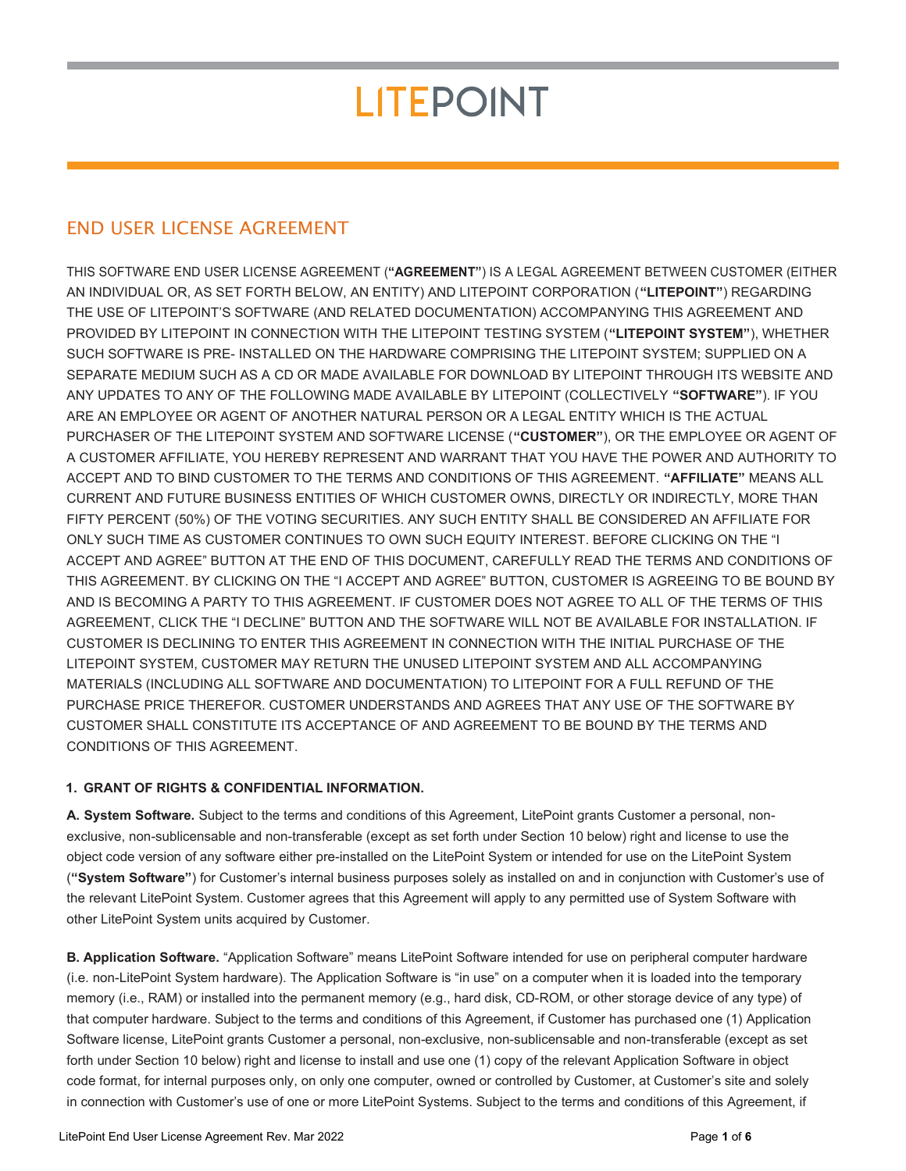# **LITEPOINT**

# END USER LICENSE AGREEMENT

THIS SOFTWARE END USER LICENSE AGREEMENT ("AGREEMENT") IS A LEGAL AGREEMENT BETWEEN CUSTOMER (EITHER AN INDIVIDUAL OR, AS SET FORTH BELOW, AN ENTITY) AND LITEPOINT CORPORATION ("LITEPOINT") REGARDING THE USE OF LITEPOINT'S SOFTWARE (AND RELATED DOCUMENTATION) ACCOMPANYING THIS AGREEMENT AND PROVIDED BY LITEPOINT IN CONNECTION WITH THE LITEPOINT TESTING SYSTEM ("LITEPOINT SYSTEM"), WHETHER SUCH SOFTWARE IS PRE- INSTALLED ON THE HARDWARE COMPRISING THE LITEPOINT SYSTEM; SUPPLIED ON A SEPARATE MEDIUM SUCH AS A CD OR MADE AVAILABLE FOR DOWNLOAD BY LITEPOINT THROUGH ITS WEBSITE AND ANY UPDATES TO ANY OF THE FOLLOWING MADE AVAILABLE BY LITEPOINT (COLLECTIVELY "SOFTWARE"). IF YOU ARE AN EMPLOYEE OR AGENT OF ANOTHER NATURAL PERSON OR A LEGAL ENTITY WHICH IS THE ACTUAL PURCHASER OF THE LITEPOINT SYSTEM AND SOFTWARE LICENSE ("CUSTOMER"), OR THE EMPLOYEE OR AGENT OF A CUSTOMER AFFILIATE, YOU HEREBY REPRESENT AND WARRANT THAT YOU HAVE THE POWER AND AUTHORITY TO ACCEPT AND TO BIND CUSTOMER TO THE TERMS AND CONDITIONS OF THIS AGREEMENT. "AFFILIATE" MEANS ALL CURRENT AND FUTURE BUSINESS ENTITIES OF WHICH CUSTOMER OWNS, DIRECTLY OR INDIRECTLY, MORE THAN FIFTY PERCENT (50%) OF THE VOTING SECURITIES. ANY SUCH ENTITY SHALL BE CONSIDERED AN AFFILIATE FOR ONLY SUCH TIME AS CUSTOMER CONTINUES TO OWN SUCH EQUITY INTEREST. BEFORE CLICKING ON THE "I ACCEPT AND AGREE" BUTTON AT THE END OF THIS DOCUMENT, CAREFULLY READ THE TERMS AND CONDITIONS OF THIS AGREEMENT. BY CLICKING ON THE "I ACCEPT AND AGREE" BUTTON, CUSTOMER IS AGREEING TO BE BOUND BY AND IS BECOMING A PARTY TO THIS AGREEMENT. IF CUSTOMER DOES NOT AGREE TO ALL OF THE TERMS OF THIS AGREEMENT, CLICK THE "I DECLINE" BUTTON AND THE SOFTWARE WILL NOT BE AVAILABLE FOR INSTALLATION. IF CUSTOMER IS DECLINING TO ENTER THIS AGREEMENT IN CONNECTION WITH THE INITIAL PURCHASE OF THE LITEPOINT SYSTEM, CUSTOMER MAY RETURN THE UNUSED LITEPOINT SYSTEM AND ALL ACCOMPANYING MATERIALS (INCLUDING ALL SOFTWARE AND DOCUMENTATION) TO LITEPOINT FOR A FULL REFUND OF THE PURCHASE PRICE THEREFOR. CUSTOMER UNDERSTANDS AND AGREES THAT ANY USE OF THE SOFTWARE BY CUSTOMER SHALL CONSTITUTE ITS ACCEPTANCE OF AND AGREEMENT TO BE BOUND BY THE TERMS AND CONDITIONS OF THIS AGREEMENT.

# 1. GRANT OF RIGHTS & CONFIDENTIAL INFORMATION.

A. System Software. Subject to the terms and conditions of this Agreement, LitePoint grants Customer a personal, nonexclusive, non-sublicensable and non-transferable (except as set forth under Section 10 below) right and license to use the object code version of any software either pre-installed on the LitePoint System or intended for use on the LitePoint System ("System Software") for Customer's internal business purposes solely as installed on and in conjunction with Customer's use of the relevant LitePoint System. Customer agrees that this Agreement will apply to any permitted use of System Software with other LitePoint System units acquired by Customer.

B. Application Software. "Application Software" means LitePoint Software intended for use on peripheral computer hardware (i.e. non-LitePoint System hardware). The Application Software is "in use" on a computer when it is loaded into the temporary memory (i.e., RAM) or installed into the permanent memory (e.g., hard disk, CD-ROM, or other storage device of any type) of that computer hardware. Subject to the terms and conditions of this Agreement, if Customer has purchased one (1) Application Software license, LitePoint grants Customer a personal, non-exclusive, non-sublicensable and non-transferable (except as set forth under Section 10 below) right and license to install and use one (1) copy of the relevant Application Software in object code format, for internal purposes only, on only one computer, owned or controlled by Customer, at Customer's site and solely in connection with Customer's use of one or more LitePoint Systems. Subject to the terms and conditions of this Agreement, if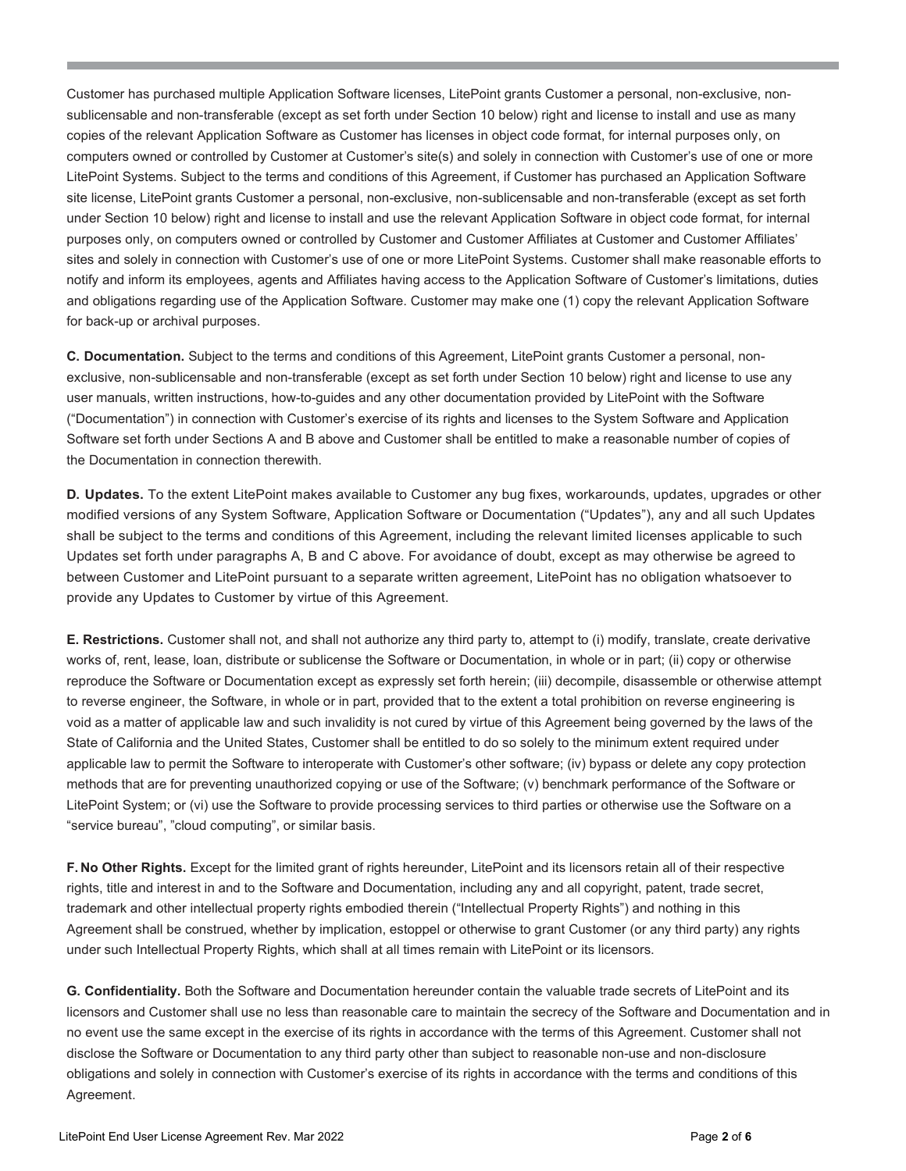Customer has purchased multiple Application Software licenses, LitePoint grants Customer a personal, non-exclusive, nonsublicensable and non-transferable (except as set forth under Section 10 below) right and license to install and use as many copies of the relevant Application Software as Customer has licenses in object code format, for internal purposes only, on computers owned or controlled by Customer at Customer's site(s) and solely in connection with Customer's use of one or more LitePoint Systems. Subject to the terms and conditions of this Agreement, if Customer has purchased an Application Software site license, LitePoint grants Customer a personal, non-exclusive, non-sublicensable and non-transferable (except as set forth under Section 10 below) right and license to install and use the relevant Application Software in object code format, for internal purposes only, on computers owned or controlled by Customer and Customer Affiliates at Customer and Customer Affiliates' sites and solely in connection with Customer's use of one or more LitePoint Systems. Customer shall make reasonable efforts to notify and inform its employees, agents and Affiliates having access to the Application Software of Customer's limitations, duties and obligations regarding use of the Application Software. Customer may make one (1) copy the relevant Application Software for back-up or archival purposes.

C. Documentation. Subject to the terms and conditions of this Agreement, LitePoint grants Customer a personal, nonexclusive, non-sublicensable and non-transferable (except as set forth under Section 10 below) right and license to use any user manuals, written instructions, how-to-guides and any other documentation provided by LitePoint with the Software ("Documentation") in connection with Customer's exercise of its rights and licenses to the System Software and Application Software set forth under Sections A and B above and Customer shall be entitled to make a reasonable number of copies of the Documentation in connection therewith.

D. Updates. To the extent LitePoint makes available to Customer any bug fixes, workarounds, updates, upgrades or other modified versions of any System Software, Application Software or Documentation ("Updates"), any and all such Updates shall be subject to the terms and conditions of this Agreement, including the relevant limited licenses applicable to such Updates set forth under paragraphs A, B and C above. For avoidance of doubt, except as may otherwise be agreed to between Customer and LitePoint pursuant to a separate written agreement, LitePoint has no obligation whatsoever to provide any Updates to Customer by virtue of this Agreement.

E. Restrictions. Customer shall not, and shall not authorize any third party to, attempt to (i) modify, translate, create derivative works of, rent, lease, loan, distribute or sublicense the Software or Documentation, in whole or in part; (ii) copy or otherwise reproduce the Software or Documentation except as expressly set forth herein; (iii) decompile, disassemble or otherwise attempt to reverse engineer, the Software, in whole or in part, provided that to the extent a total prohibition on reverse engineering is void as a matter of applicable law and such invalidity is not cured by virtue of this Agreement being governed by the laws of the State of California and the United States, Customer shall be entitled to do so solely to the minimum extent required under applicable law to permit the Software to interoperate with Customer's other software; (iv) bypass or delete any copy protection methods that are for preventing unauthorized copying or use of the Software; (v) benchmark performance of the Software or LitePoint System; or (vi) use the Software to provide processing services to third parties or otherwise use the Software on a "service bureau", "cloud computing", or similar basis.

F. No Other Rights. Except for the limited grant of rights hereunder, LitePoint and its licensors retain all of their respective rights, title and interest in and to the Software and Documentation, including any and all copyright, patent, trade secret, trademark and other intellectual property rights embodied therein ("Intellectual Property Rights") and nothing in this Agreement shall be construed, whether by implication, estoppel or otherwise to grant Customer (or any third party) any rights under such Intellectual Property Rights, which shall at all times remain with LitePoint or its licensors.

G. Confidentiality. Both the Software and Documentation hereunder contain the valuable trade secrets of LitePoint and its licensors and Customer shall use no less than reasonable care to maintain the secrecy of the Software and Documentation and in no event use the same except in the exercise of its rights in accordance with the terms of this Agreement. Customer shall not disclose the Software or Documentation to any third party other than subject to reasonable non-use and non-disclosure obligations and solely in connection with Customer's exercise of its rights in accordance with the terms and conditions of this Agreement.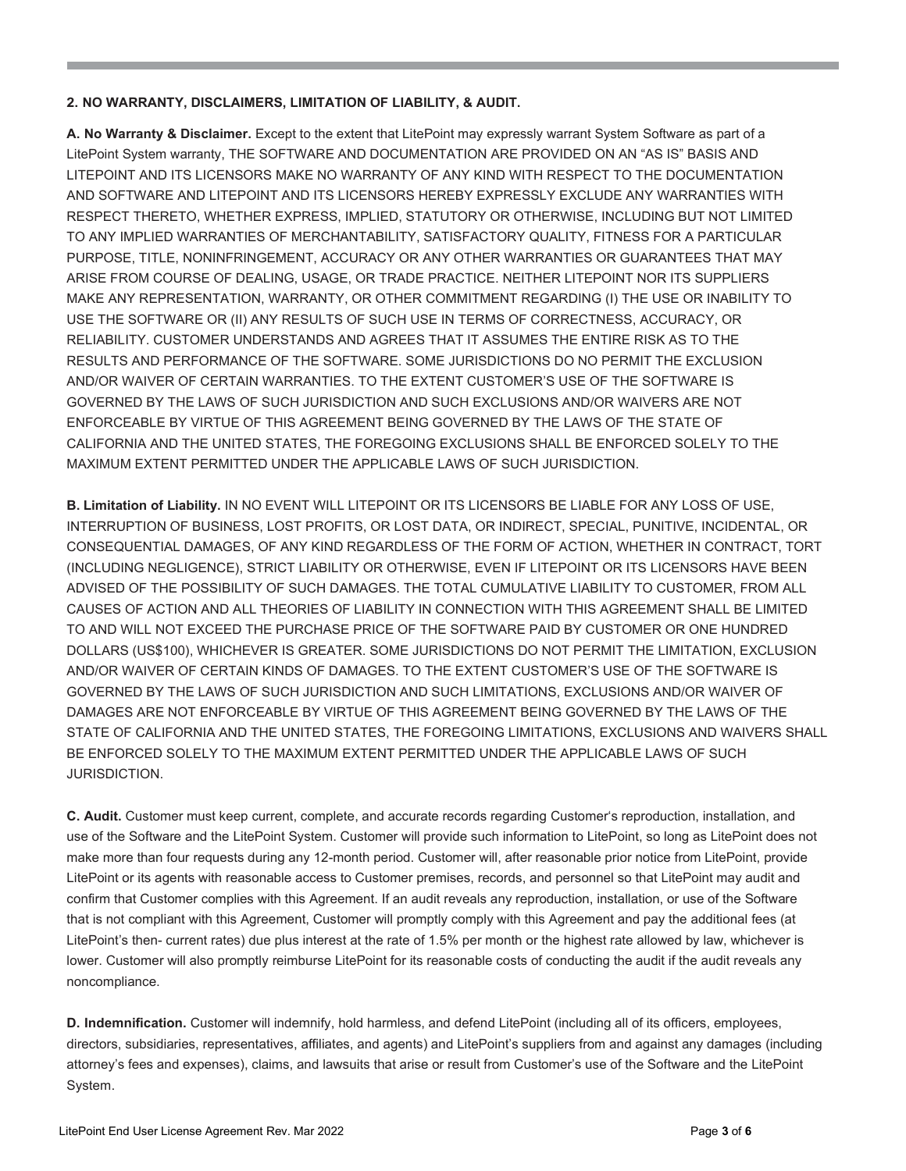# 2. NO WARRANTY, DISCLAIMERS, LIMITATION OF LIABILITY, & AUDIT.

A. No Warranty & Disclaimer. Except to the extent that LitePoint may expressly warrant System Software as part of a LitePoint System warranty, THE SOFTWARE AND DOCUMENTATION ARE PROVIDED ON AN "AS IS" BASIS AND LITEPOINT AND ITS LICENSORS MAKE NO WARRANTY OF ANY KIND WITH RESPECT TO THE DOCUMENTATION AND SOFTWARE AND LITEPOINT AND ITS LICENSORS HEREBY EXPRESSLY EXCLUDE ANY WARRANTIES WITH RESPECT THERETO, WHETHER EXPRESS, IMPLIED, STATUTORY OR OTHERWISE, INCLUDING BUT NOT LIMITED TO ANY IMPLIED WARRANTIES OF MERCHANTABILITY, SATISFACTORY QUALITY, FITNESS FOR A PARTICULAR PURPOSE, TITLE, NONINFRINGEMENT, ACCURACY OR ANY OTHER WARRANTIES OR GUARANTEES THAT MAY ARISE FROM COURSE OF DEALING, USAGE, OR TRADE PRACTICE. NEITHER LITEPOINT NOR ITS SUPPLIERS MAKE ANY REPRESENTATION, WARRANTY, OR OTHER COMMITMENT REGARDING (I) THE USE OR INABILITY TO USE THE SOFTWARE OR (II) ANY RESULTS OF SUCH USE IN TERMS OF CORRECTNESS, ACCURACY, OR RELIABILITY. CUSTOMER UNDERSTANDS AND AGREES THAT IT ASSUMES THE ENTIRE RISK AS TO THE RESULTS AND PERFORMANCE OF THE SOFTWARE. SOME JURISDICTIONS DO NO PERMIT THE EXCLUSION AND/OR WAIVER OF CERTAIN WARRANTIES. TO THE EXTENT CUSTOMER'S USE OF THE SOFTWARE IS GOVERNED BY THE LAWS OF SUCH JURISDICTION AND SUCH EXCLUSIONS AND/OR WAIVERS ARE NOT ENFORCEABLE BY VIRTUE OF THIS AGREEMENT BEING GOVERNED BY THE LAWS OF THE STATE OF CALIFORNIA AND THE UNITED STATES, THE FOREGOING EXCLUSIONS SHALL BE ENFORCED SOLELY TO THE MAXIMUM EXTENT PERMITTED UNDER THE APPLICABLE LAWS OF SUCH JURISDICTION.

B. Limitation of Liability. IN NO EVENT WILL LITEPOINT OR ITS LICENSORS BE LIABLE FOR ANY LOSS OF USE, INTERRUPTION OF BUSINESS, LOST PROFITS, OR LOST DATA, OR INDIRECT, SPECIAL, PUNITIVE, INCIDENTAL, OR CONSEQUENTIAL DAMAGES, OF ANY KIND REGARDLESS OF THE FORM OF ACTION, WHETHER IN CONTRACT, TORT (INCLUDING NEGLIGENCE), STRICT LIABILITY OR OTHERWISE, EVEN IF LITEPOINT OR ITS LICENSORS HAVE BEEN ADVISED OF THE POSSIBILITY OF SUCH DAMAGES. THE TOTAL CUMULATIVE LIABILITY TO CUSTOMER, FROM ALL CAUSES OF ACTION AND ALL THEORIES OF LIABILITY IN CONNECTION WITH THIS AGREEMENT SHALL BE LIMITED TO AND WILL NOT EXCEED THE PURCHASE PRICE OF THE SOFTWARE PAID BY CUSTOMER OR ONE HUNDRED DOLLARS (US\$100), WHICHEVER IS GREATER. SOME JURISDICTIONS DO NOT PERMIT THE LIMITATION, EXCLUSION AND/OR WAIVER OF CERTAIN KINDS OF DAMAGES. TO THE EXTENT CUSTOMER'S USE OF THE SOFTWARE IS GOVERNED BY THE LAWS OF SUCH JURISDICTION AND SUCH LIMITATIONS, EXCLUSIONS AND/OR WAIVER OF DAMAGES ARE NOT ENFORCEABLE BY VIRTUE OF THIS AGREEMENT BEING GOVERNED BY THE LAWS OF THE STATE OF CALIFORNIA AND THE UNITED STATES, THE FOREGOING LIMITATIONS, EXCLUSIONS AND WAIVERS SHALL BE ENFORCED SOLELY TO THE MAXIMUM EXTENT PERMITTED UNDER THE APPLICABLE LAWS OF SUCH JURISDICTION.

C. Audit. Customer must keep current, complete, and accurate records regarding Customer's reproduction, installation, and use of the Software and the LitePoint System. Customer will provide such information to LitePoint, so long as LitePoint does not make more than four requests during any 12-month period. Customer will, after reasonable prior notice from LitePoint, provide LitePoint or its agents with reasonable access to Customer premises, records, and personnel so that LitePoint may audit and confirm that Customer complies with this Agreement. If an audit reveals any reproduction, installation, or use of the Software that is not compliant with this Agreement, Customer will promptly comply with this Agreement and pay the additional fees (at LitePoint's then- current rates) due plus interest at the rate of 1.5% per month or the highest rate allowed by law, whichever is lower. Customer will also promptly reimburse LitePoint for its reasonable costs of conducting the audit if the audit reveals any noncompliance.

D. Indemnification. Customer will indemnify, hold harmless, and defend LitePoint (including all of its officers, employees, directors, subsidiaries, representatives, affiliates, and agents) and LitePoint's suppliers from and against any damages (including attorney's fees and expenses), claims, and lawsuits that arise or result from Customer's use of the Software and the LitePoint System.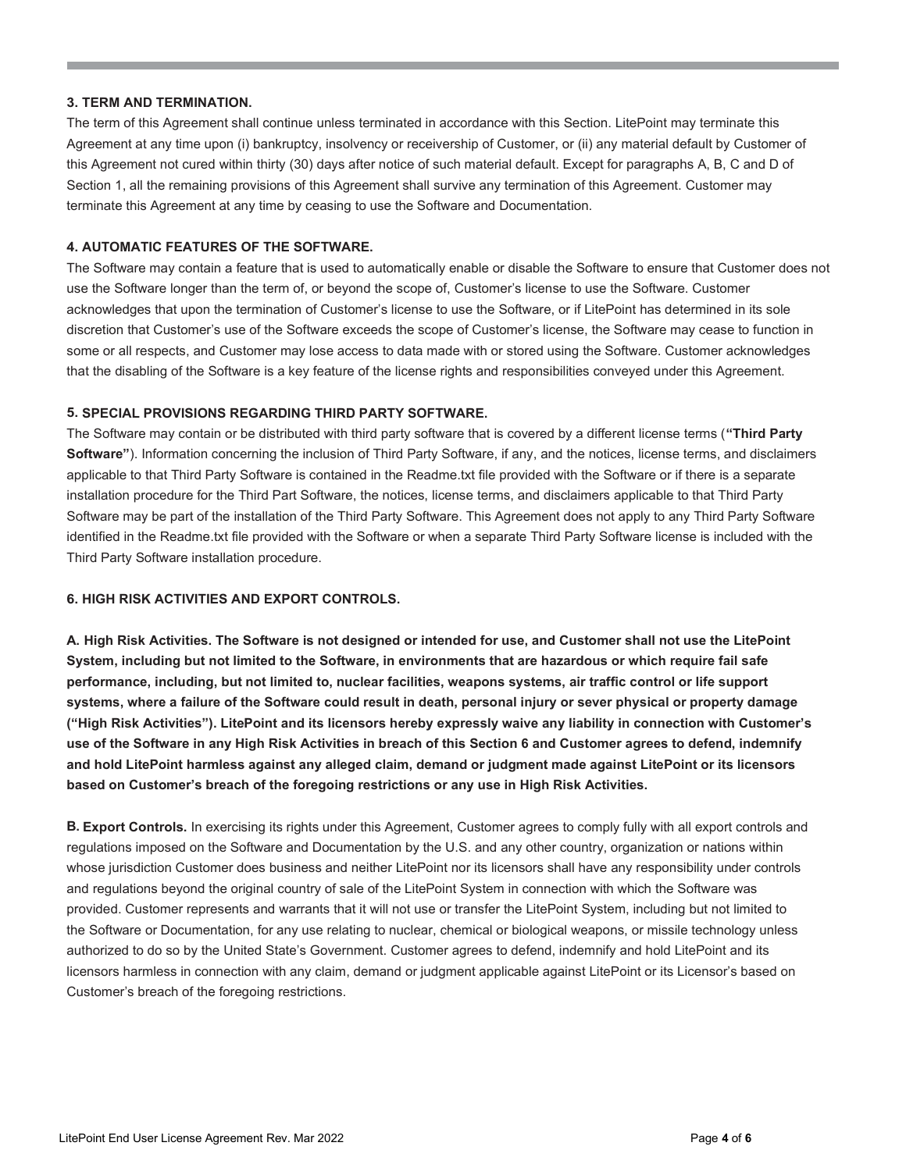#### 3. TERM AND TERMINATION.

The term of this Agreement shall continue unless terminated in accordance with this Section. LitePoint may terminate this Agreement at any time upon (i) bankruptcy, insolvency or receivership of Customer, or (ii) any material default by Customer of this Agreement not cured within thirty (30) days after notice of such material default. Except for paragraphs A, B, C and D of Section 1, all the remaining provisions of this Agreement shall survive any termination of this Agreement. Customer may terminate this Agreement at any time by ceasing to use the Software and Documentation.

### 4. AUTOMATIC FEATURES OF THE SOFTWARE.

The Software may contain a feature that is used to automatically enable or disable the Software to ensure that Customer does not use the Software longer than the term of, or beyond the scope of, Customer's license to use the Software. Customer acknowledges that upon the termination of Customer's license to use the Software, or if LitePoint has determined in its sole discretion that Customer's use of the Software exceeds the scope of Customer's license, the Software may cease to function in some or all respects, and Customer may lose access to data made with or stored using the Software. Customer acknowledges that the disabling of the Software is a key feature of the license rights and responsibilities conveyed under this Agreement.

### 5. SPECIAL PROVISIONS REGARDING THIRD PARTY SOFTWARE.

The Software may contain or be distributed with third party software that is covered by a different license terms ("Third Party Software"). Information concerning the inclusion of Third Party Software, if any, and the notices, license terms, and disclaimers applicable to that Third Party Software is contained in the Readme.txt file provided with the Software or if there is a separate installation procedure for the Third Part Software, the notices, license terms, and disclaimers applicable to that Third Party Software may be part of the installation of the Third Party Software. This Agreement does not apply to any Third Party Software identified in the Readme.txt file provided with the Software or when a separate Third Party Software license is included with the Third Party Software installation procedure.

# 6. HIGH RISK ACTIVITIES AND EXPORT CONTROLS.

A. High Risk Activities. The Software is not designed or intended for use, and Customer shall not use the LitePoint System, including but not limited to the Software, in environments that are hazardous or which require fail safe performance, including, but not limited to, nuclear facilities, weapons systems, air traffic control or life support systems, where a failure of the Software could result in death, personal injury or sever physical or property damage ("High Risk Activities"). LitePoint and its licensors hereby expressly waive any liability in connection with Customer's use of the Software in any High Risk Activities in breach of this Section 6 and Customer agrees to defend, indemnify and hold LitePoint harmless against any alleged claim, demand or judgment made against LitePoint or its licensors based on Customer's breach of the foregoing restrictions or any use in High Risk Activities.

B. Export Controls. In exercising its rights under this Agreement, Customer agrees to comply fully with all export controls and regulations imposed on the Software and Documentation by the U.S. and any other country, organization or nations within whose jurisdiction Customer does business and neither LitePoint nor its licensors shall have any responsibility under controls and regulations beyond the original country of sale of the LitePoint System in connection with which the Software was provided. Customer represents and warrants that it will not use or transfer the LitePoint System, including but not limited to the Software or Documentation, for any use relating to nuclear, chemical or biological weapons, or missile technology unless authorized to do so by the United State's Government. Customer agrees to defend, indemnify and hold LitePoint and its licensors harmless in connection with any claim, demand or judgment applicable against LitePoint or its Licensor's based on Customer's breach of the foregoing restrictions.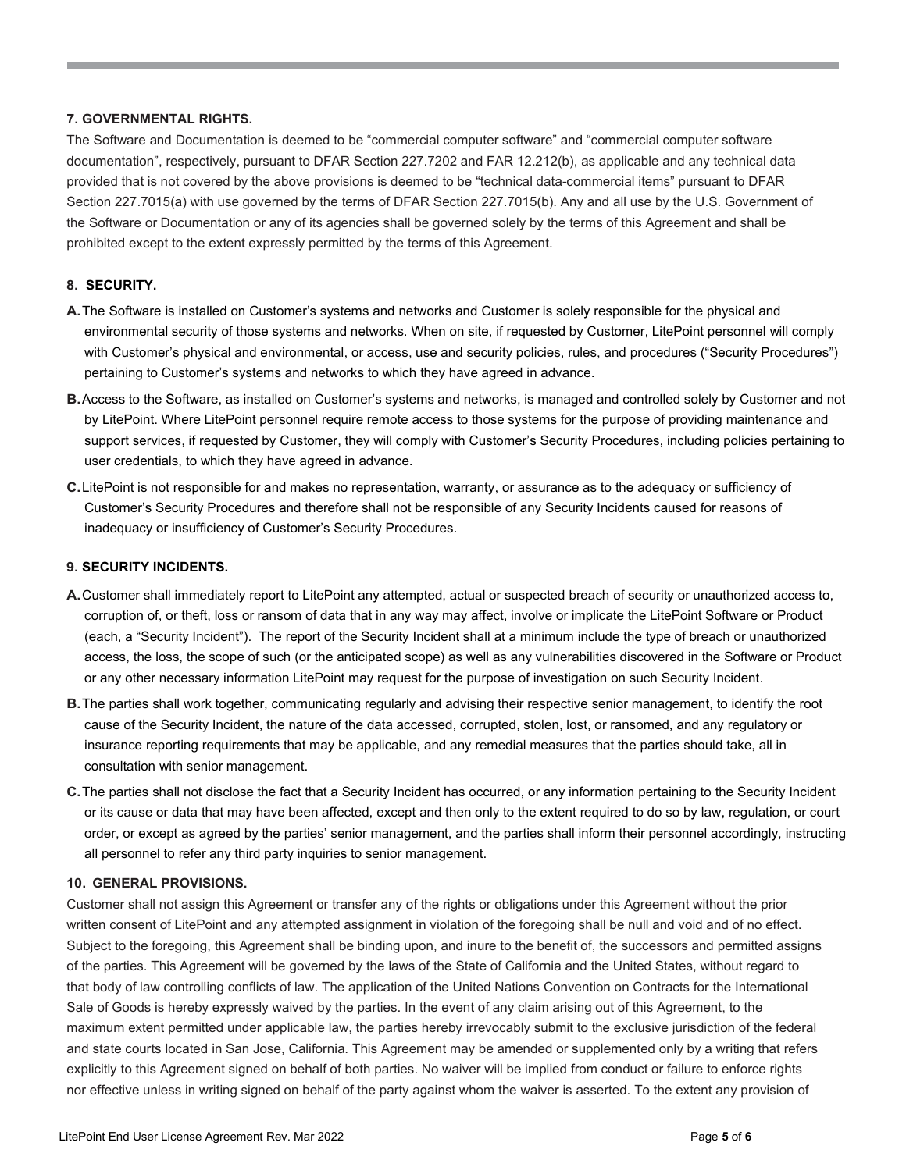### 7. GOVERNMENTAL RIGHTS.

The Software and Documentation is deemed to be "commercial computer software" and "commercial computer software documentation", respectively, pursuant to DFAR Section 227.7202 and FAR 12.212(b), as applicable and any technical data provided that is not covered by the above provisions is deemed to be "technical data-commercial items" pursuant to DFAR Section 227.7015(a) with use governed by the terms of DFAR Section 227.7015(b). Any and all use by the U.S. Government of the Software or Documentation or any of its agencies shall be governed solely by the terms of this Agreement and shall be prohibited except to the extent expressly permitted by the terms of this Agreement.

# 8. SECURITY.

- A. The Software is installed on Customer's systems and networks and Customer is solely responsible for the physical and environmental security of those systems and networks. When on site, if requested by Customer, LitePoint personnel will comply with Customer's physical and environmental, or access, use and security policies, rules, and procedures ("Security Procedures") pertaining to Customer's systems and networks to which they have agreed in advance.
- B. Access to the Software, as installed on Customer's systems and networks, is managed and controlled solely by Customer and not by LitePoint. Where LitePoint personnel require remote access to those systems for the purpose of providing maintenance and support services, if requested by Customer, they will comply with Customer's Security Procedures, including policies pertaining to user credentials, to which they have agreed in advance.
- C. LitePoint is not responsible for and makes no representation, warranty, or assurance as to the adequacy or sufficiency of Customer's Security Procedures and therefore shall not be responsible of any Security Incidents caused for reasons of inadequacy or insufficiency of Customer's Security Procedures.

### 9. SECURITY INCIDENTS.

- A. Customer shall immediately report to LitePoint any attempted, actual or suspected breach of security or unauthorized access to, corruption of, or theft, loss or ransom of data that in any way may affect, involve or implicate the LitePoint Software or Product (each, a "Security Incident"). The report of the Security Incident shall at a minimum include the type of breach or unauthorized access, the loss, the scope of such (or the anticipated scope) as well as any vulnerabilities discovered in the Software or Product or any other necessary information LitePoint may request for the purpose of investigation on such Security Incident.
- B. The parties shall work together, communicating regularly and advising their respective senior management, to identify the root cause of the Security Incident, the nature of the data accessed, corrupted, stolen, lost, or ransomed, and any regulatory or insurance reporting requirements that may be applicable, and any remedial measures that the parties should take, all in consultation with senior management.
- C. The parties shall not disclose the fact that a Security Incident has occurred, or any information pertaining to the Security Incident or its cause or data that may have been affected, except and then only to the extent required to do so by law, regulation, or court order, or except as agreed by the parties' senior management, and the parties shall inform their personnel accordingly, instructing all personnel to refer any third party inquiries to senior management.

#### 10. GENERAL PROVISIONS.

Customer shall not assign this Agreement or transfer any of the rights or obligations under this Agreement without the prior written consent of LitePoint and any attempted assignment in violation of the foregoing shall be null and void and of no effect. Subject to the foregoing, this Agreement shall be binding upon, and inure to the benefit of, the successors and permitted assigns of the parties. This Agreement will be governed by the laws of the State of California and the United States, without regard to that body of law controlling conflicts of law. The application of the United Nations Convention on Contracts for the International Sale of Goods is hereby expressly waived by the parties. In the event of any claim arising out of this Agreement, to the maximum extent permitted under applicable law, the parties hereby irrevocably submit to the exclusive jurisdiction of the federal and state courts located in San Jose, California. This Agreement may be amended or supplemented only by a writing that refers explicitly to this Agreement signed on behalf of both parties. No waiver will be implied from conduct or failure to enforce rights nor effective unless in writing signed on behalf of the party against whom the waiver is asserted. To the extent any provision of